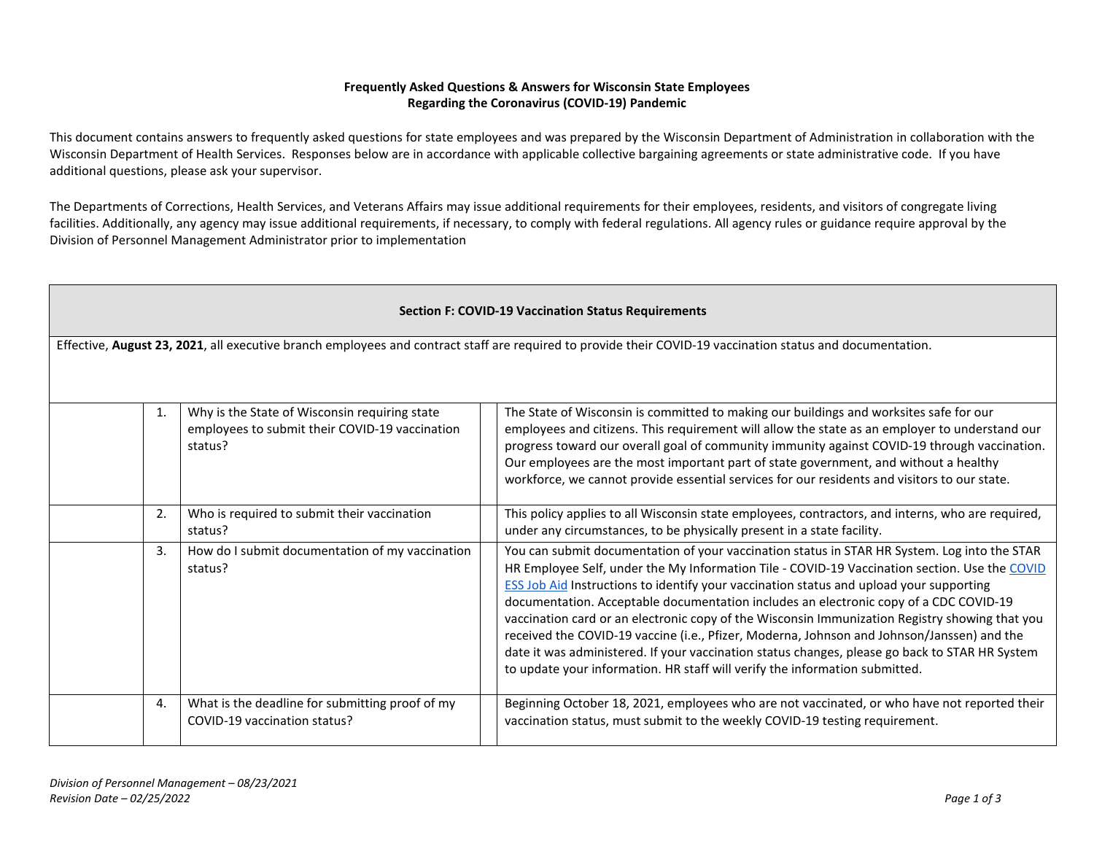## **Frequently Asked Questions & Answers for Wisconsin State Employees Regarding the Coronavirus (COVID-19) Pandemic**

This document contains answers to frequently asked questions for state employees and was prepared by the Wisconsin Department of Administration in collaboration with the Wisconsin Department of Health Services. Responses below are in accordance with applicable collective bargaining agreements or state administrative code. If you have additional questions, please ask your supervisor.

The Departments of Corrections, Health Services, and Veterans Affairs may issue additional requirements for their employees, residents, and visitors of congregate living facilities. Additionally, any agency may issue additional requirements, if necessary, to comply with federal regulations. All agency rules or guidance require approval by the Division of Personnel Management Administrator prior to implementation

| <b>Section F: COVID-19 Vaccination Status Requirements</b>                                                                                                 |                                                                                                            |  |                                                                                                                                                                                                                                                                                                                                                                                                                                                                                                                                                                                                                                                                                                                                                                    |  |  |
|------------------------------------------------------------------------------------------------------------------------------------------------------------|------------------------------------------------------------------------------------------------------------|--|--------------------------------------------------------------------------------------------------------------------------------------------------------------------------------------------------------------------------------------------------------------------------------------------------------------------------------------------------------------------------------------------------------------------------------------------------------------------------------------------------------------------------------------------------------------------------------------------------------------------------------------------------------------------------------------------------------------------------------------------------------------------|--|--|
| Effective, August 23, 2021, all executive branch employees and contract staff are required to provide their COVID-19 vaccination status and documentation. |                                                                                                            |  |                                                                                                                                                                                                                                                                                                                                                                                                                                                                                                                                                                                                                                                                                                                                                                    |  |  |
|                                                                                                                                                            |                                                                                                            |  |                                                                                                                                                                                                                                                                                                                                                                                                                                                                                                                                                                                                                                                                                                                                                                    |  |  |
| 1.                                                                                                                                                         | Why is the State of Wisconsin requiring state<br>employees to submit their COVID-19 vaccination<br>status? |  | The State of Wisconsin is committed to making our buildings and worksites safe for our<br>employees and citizens. This requirement will allow the state as an employer to understand our<br>progress toward our overall goal of community immunity against COVID-19 through vaccination.<br>Our employees are the most important part of state government, and without a healthy<br>workforce, we cannot provide essential services for our residents and visitors to our state.                                                                                                                                                                                                                                                                                   |  |  |
| 2.                                                                                                                                                         | Who is required to submit their vaccination<br>status?                                                     |  | This policy applies to all Wisconsin state employees, contractors, and interns, who are required,<br>under any circumstances, to be physically present in a state facility.                                                                                                                                                                                                                                                                                                                                                                                                                                                                                                                                                                                        |  |  |
| 3.                                                                                                                                                         | How do I submit documentation of my vaccination<br>status?                                                 |  | You can submit documentation of your vaccination status in STAR HR System. Log into the STAR<br>HR Employee Self, under the My Information Tile - COVID-19 Vaccination section. Use the COVID<br>ESS Job Aid Instructions to identify your vaccination status and upload your supporting<br>documentation. Acceptable documentation includes an electronic copy of a CDC COVID-19<br>vaccination card or an electronic copy of the Wisconsin Immunization Registry showing that you<br>received the COVID-19 vaccine (i.e., Pfizer, Moderna, Johnson and Johnson/Janssen) and the<br>date it was administered. If your vaccination status changes, please go back to STAR HR System<br>to update your information. HR staff will verify the information submitted. |  |  |
| 4.                                                                                                                                                         | What is the deadline for submitting proof of my<br>COVID-19 vaccination status?                            |  | Beginning October 18, 2021, employees who are not vaccinated, or who have not reported their<br>vaccination status, must submit to the weekly COVID-19 testing requirement.                                                                                                                                                                                                                                                                                                                                                                                                                                                                                                                                                                                        |  |  |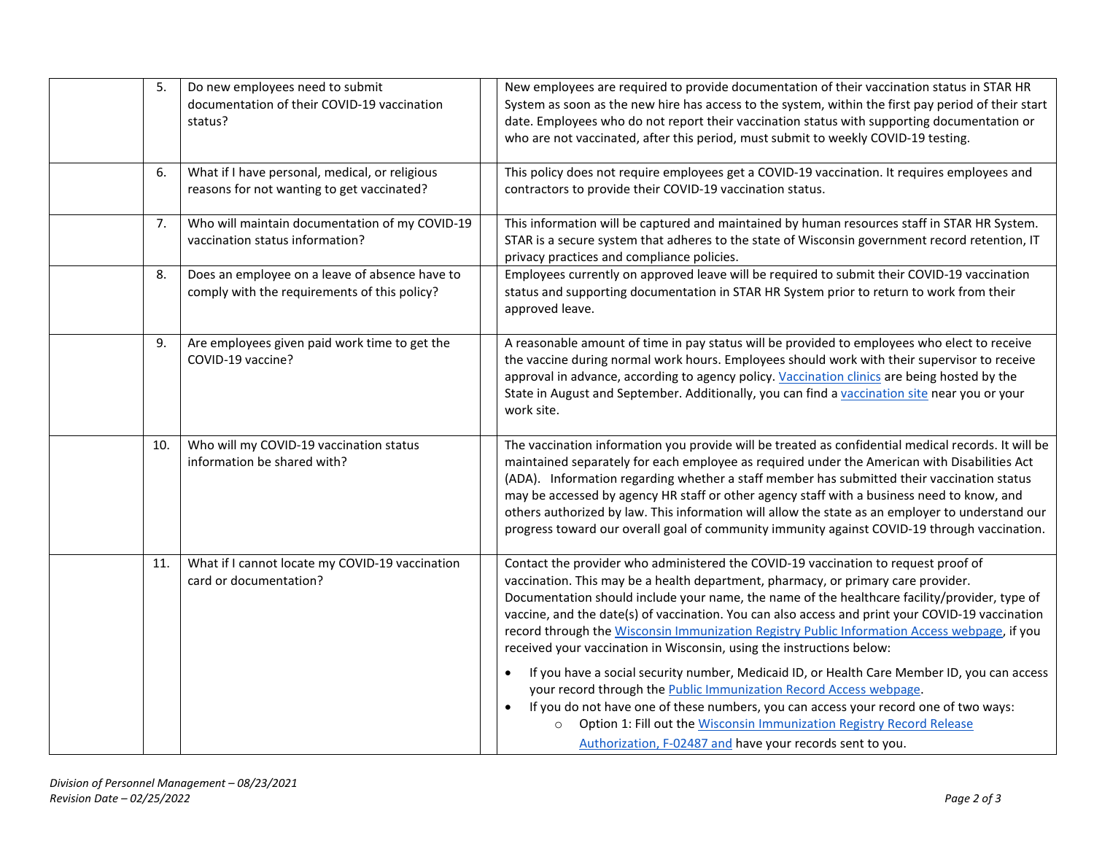| 5.  | Do new employees need to submit<br>documentation of their COVID-19 vaccination<br>status?      | New employees are required to provide documentation of their vaccination status in STAR HR<br>System as soon as the new hire has access to the system, within the first pay period of their start<br>date. Employees who do not report their vaccination status with supporting documentation or<br>who are not vaccinated, after this period, must submit to weekly COVID-19 testing.                                                                                                                                                                                                                                                                                                                                                                                                                                                                                                                                                                                           |
|-----|------------------------------------------------------------------------------------------------|----------------------------------------------------------------------------------------------------------------------------------------------------------------------------------------------------------------------------------------------------------------------------------------------------------------------------------------------------------------------------------------------------------------------------------------------------------------------------------------------------------------------------------------------------------------------------------------------------------------------------------------------------------------------------------------------------------------------------------------------------------------------------------------------------------------------------------------------------------------------------------------------------------------------------------------------------------------------------------|
| 6.  | What if I have personal, medical, or religious<br>reasons for not wanting to get vaccinated?   | This policy does not require employees get a COVID-19 vaccination. It requires employees and<br>contractors to provide their COVID-19 vaccination status.                                                                                                                                                                                                                                                                                                                                                                                                                                                                                                                                                                                                                                                                                                                                                                                                                        |
| 7.  | Who will maintain documentation of my COVID-19<br>vaccination status information?              | This information will be captured and maintained by human resources staff in STAR HR System.<br>STAR is a secure system that adheres to the state of Wisconsin government record retention, IT<br>privacy practices and compliance policies.                                                                                                                                                                                                                                                                                                                                                                                                                                                                                                                                                                                                                                                                                                                                     |
| 8.  | Does an employee on a leave of absence have to<br>comply with the requirements of this policy? | Employees currently on approved leave will be required to submit their COVID-19 vaccination<br>status and supporting documentation in STAR HR System prior to return to work from their<br>approved leave.                                                                                                                                                                                                                                                                                                                                                                                                                                                                                                                                                                                                                                                                                                                                                                       |
| 9.  | Are employees given paid work time to get the<br>COVID-19 vaccine?                             | A reasonable amount of time in pay status will be provided to employees who elect to receive<br>the vaccine during normal work hours. Employees should work with their supervisor to receive<br>approval in advance, according to agency policy. Vaccination clinics are being hosted by the<br>State in August and September. Additionally, you can find a vaccination site near you or your<br>work site.                                                                                                                                                                                                                                                                                                                                                                                                                                                                                                                                                                      |
| 10. | Who will my COVID-19 vaccination status<br>information be shared with?                         | The vaccination information you provide will be treated as confidential medical records. It will be<br>maintained separately for each employee as required under the American with Disabilities Act<br>(ADA). Information regarding whether a staff member has submitted their vaccination status<br>may be accessed by agency HR staff or other agency staff with a business need to know, and<br>others authorized by law. This information will allow the state as an employer to understand our<br>progress toward our overall goal of community immunity against COVID-19 through vaccination.                                                                                                                                                                                                                                                                                                                                                                              |
| 11. | What if I cannot locate my COVID-19 vaccination<br>card or documentation?                      | Contact the provider who administered the COVID-19 vaccination to request proof of<br>vaccination. This may be a health department, pharmacy, or primary care provider.<br>Documentation should include your name, the name of the healthcare facility/provider, type of<br>vaccine, and the date(s) of vaccination. You can also access and print your COVID-19 vaccination<br>record through the Wisconsin Immunization Registry Public Information Access webpage, if you<br>received your vaccination in Wisconsin, using the instructions below:<br>If you have a social security number, Medicaid ID, or Health Care Member ID, you can access<br>$\bullet$<br>your record through the Public Immunization Record Access webpage.<br>If you do not have one of these numbers, you can access your record one of two ways:<br>Option 1: Fill out the Wisconsin Immunization Registry Record Release<br>$\circ$<br>Authorization, F-02487 and have your records sent to you. |